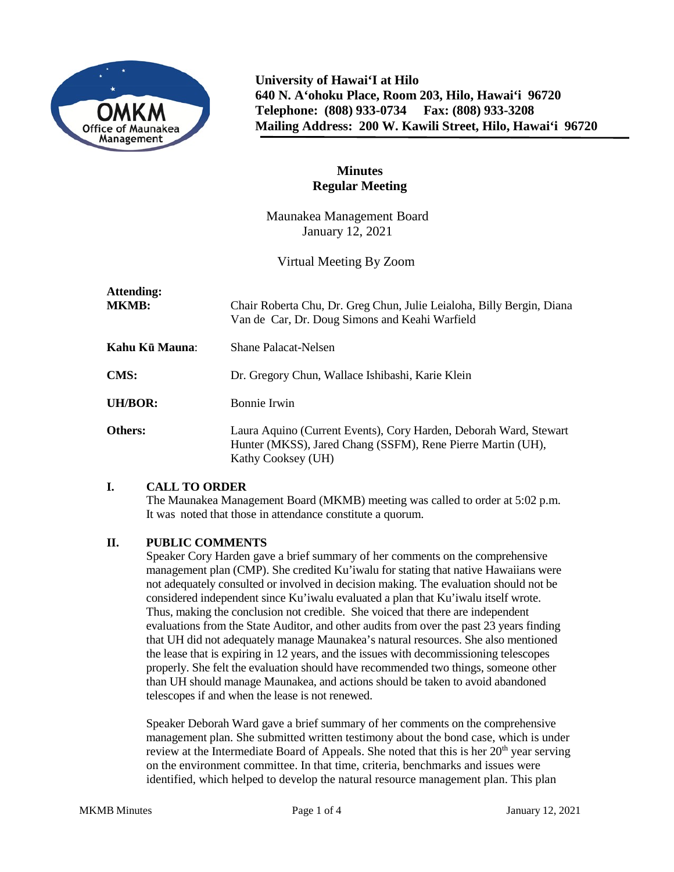

**University of Hawai'I at Hilo 640 N. A'ohoku Place, Room 203, Hilo, Hawai'i 96720 Telephone: (808) 933-0734 Fax: (808) 933-3208 Mailing Address: 200 W. Kawili Street, Hilo, Hawai'i 96720**

# **Minutes Regular Meeting**

Maunakea Management Board January 12, 2021

Virtual Meeting By Zoom

| Attending:<br><b>MKMB:</b> | Chair Roberta Chu, Dr. Greg Chun, Julie Leialoha, Billy Bergin, Diana<br>Van de Car, Dr. Doug Simons and Keahi Warfield                                |
|----------------------------|--------------------------------------------------------------------------------------------------------------------------------------------------------|
| Kahu Kū Mauna:             | Shane Palacat-Nelsen                                                                                                                                   |
| <b>CMS:</b>                | Dr. Gregory Chun, Wallace Ishibashi, Karie Klein                                                                                                       |
| UH/BOR:                    | Bonnie Irwin                                                                                                                                           |
| <b>Others:</b>             | Laura Aquino (Current Events), Cory Harden, Deborah Ward, Stewart<br>Hunter (MKSS), Jared Chang (SSFM), Rene Pierre Martin (UH),<br>Kathy Cooksey (UH) |

# **I. CALL TO ORDER**

The Maunakea Management Board (MKMB) meeting was called to order at 5:02 p.m. It was noted that those in attendance constitute a quorum.

# **II. PUBLIC COMMENTS**

Speaker Cory Harden gave a brief summary of her comments on the comprehensive management plan (CMP). She credited Ku'iwalu for stating that native Hawaiians were not adequately consulted or involved in decision making. The evaluation should not be considered independent since Ku'iwalu evaluated a plan that Ku'iwalu itself wrote. Thus, making the conclusion not credible. She voiced that there are independent evaluations from the State Auditor, and other audits from over the past 23 years finding that UH did not adequately manage Maunakea's natural resources. She also mentioned the lease that is expiring in 12 years, and the issues with decommissioning telescopes properly. She felt the evaluation should have recommended two things, someone other than UH should manage Maunakea, and actions should be taken to avoid abandoned telescopes if and when the lease is not renewed.

Speaker Deborah Ward gave a brief summary of her comments on the comprehensive management plan. She submitted written testimony about the bond case, which is under review at the Intermediate Board of Appeals. She noted that this is her 20<sup>th</sup> year serving on the environment committee. In that time, criteria, benchmarks and issues were identified, which helped to develop the natural resource management plan. This plan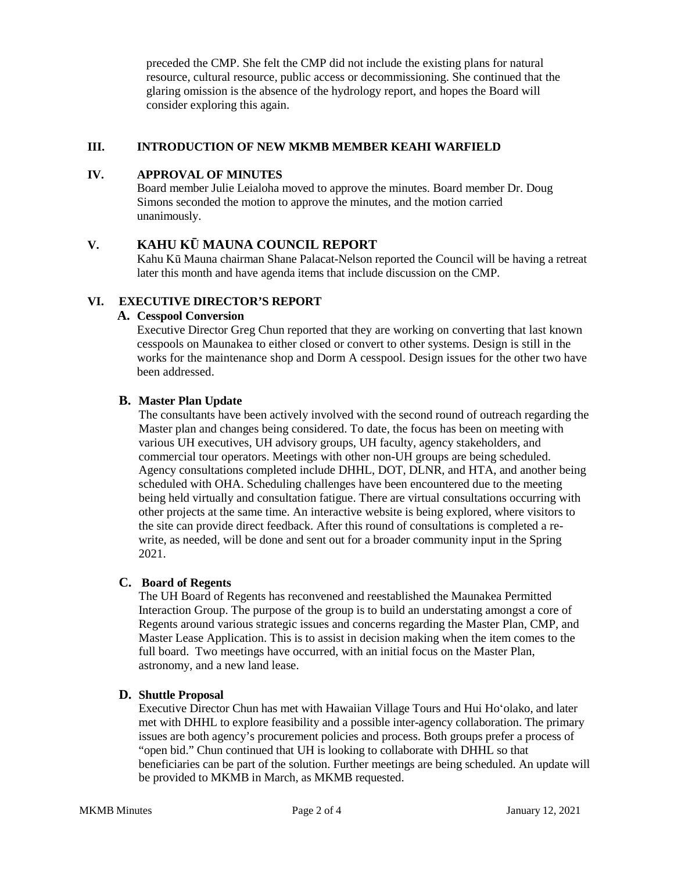preceded the CMP. She felt the CMP did not include the existing plans for natural resource, cultural resource, public access or decommissioning. She continued that the glaring omission is the absence of the hydrology report, and hopes the Board will consider exploring this again.

### **III. INTRODUCTION OF NEW MKMB MEMBER KEAHI WARFIELD**

### **IV. APPROVAL OF MINUTES**

Board member Julie Leialoha moved to approve the minutes. Board member Dr. Doug Simons seconded the motion to approve the minutes, and the motion carried unanimously.

# **V. KAHU KŪ MAUNA COUNCIL REPORT**

Kahu Kū Mauna chairman Shane Palacat-Nelson reported the Council will be having a retreat later this month and have agenda items that include discussion on the CMP.

### **VI. EXECUTIVE DIRECTOR'S REPORT**

### **A. Cesspool Conversion**

Executive Director Greg Chun reported that they are working on converting that last known cesspools on Maunakea to either closed or convert to other systems. Design is still in the works for the maintenance shop and Dorm A cesspool. Design issues for the other two have been addressed.

### **B. Master Plan Update**

The consultants have been actively involved with the second round of outreach regarding the Master plan and changes being considered. To date, the focus has been on meeting with various UH executives, UH advisory groups, UH faculty, agency stakeholders, and commercial tour operators. Meetings with other non-UH groups are being scheduled. Agency consultations completed include DHHL, DOT, DLNR, and HTA, and another being scheduled with OHA. Scheduling challenges have been encountered due to the meeting being held virtually and consultation fatigue. There are virtual consultations occurring with other projects at the same time. An interactive website is being explored, where visitors to the site can provide direct feedback. After this round of consultations is completed a rewrite, as needed, will be done and sent out for a broader community input in the Spring 2021.

### **C. Board of Regents**

The UH Board of Regents has reconvened and reestablished the Maunakea Permitted Interaction Group. The purpose of the group is to build an understating amongst a core of Regents around various strategic issues and concerns regarding the Master Plan, CMP, and Master Lease Application. This is to assist in decision making when the item comes to the full board. Two meetings have occurred, with an initial focus on the Master Plan, astronomy, and a new land lease.

### **D. Shuttle Proposal**

Executive Director Chun has met with Hawaiian Village Tours and Hui Hoʻolako, and later met with DHHL to explore feasibility and a possible inter-agency collaboration. The primary issues are both agency's procurement policies and process. Both groups prefer a process of "open bid." Chun continued that UH is looking to collaborate with DHHL so that beneficiaries can be part of the solution. Further meetings are being scheduled. An update will be provided to MKMB in March, as MKMB requested.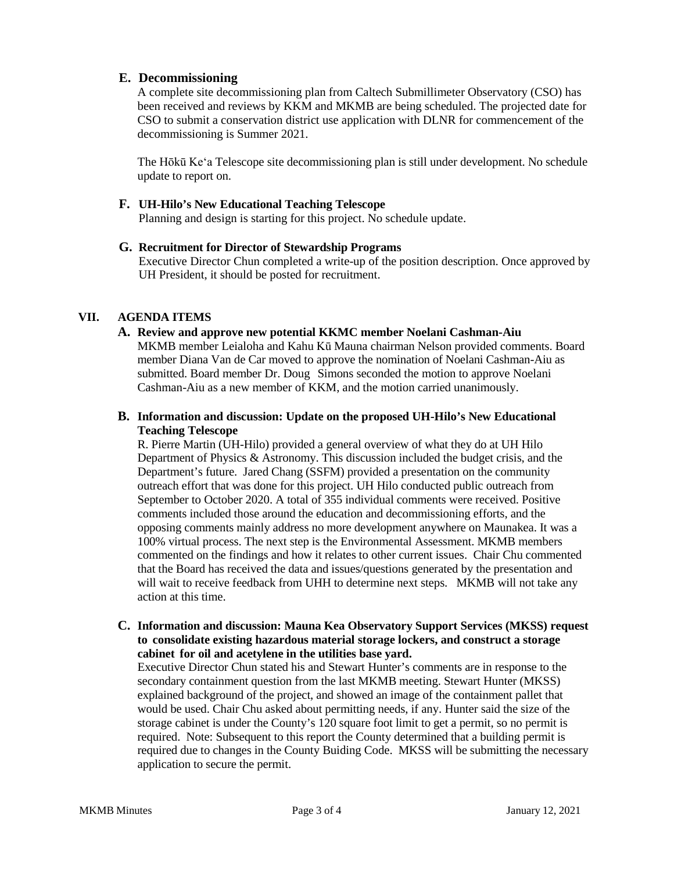### **E. Decommissioning**

A complete site decommissioning plan from Caltech Submillimeter Observatory (CSO) has been received and reviews by KKM and MKMB are being scheduled. The projected date for CSO to submit a conservation district use application with DLNR for commencement of the decommissioning is Summer 2021.

The Hōkū Keʻa Telescope site decommissioning plan is still under development. No schedule update to report on.

#### **F. UH-Hilo's New Educational Teaching Telescope**

Planning and design is starting for this project. No schedule update.

#### **G. Recruitment for Director of Stewardship Programs**

Executive Director Chun completed a write-up of the position description. Once approved by UH President, it should be posted for recruitment.

### **VII. AGENDA ITEMS**

#### **A. Review and approve new potential KKMC member Noelani Cashman-Aiu**

MKMB member Leialoha and Kahu Kū Mauna chairman Nelson provided comments. Board member Diana Van de Car moved to approve the nomination of Noelani Cashman-Aiu as submitted. Board member Dr. Doug Simons seconded the motion to approve Noelani Cashman-Aiu as a new member of KKM, and the motion carried unanimously.

### **B. Information and discussion: Update on the proposed UH-Hilo's New Educational Teaching Telescope**

R. Pierre Martin (UH-Hilo) provided a general overview of what they do at UH Hilo Department of Physics & Astronomy. This discussion included the budget crisis, and the Department's future. Jared Chang (SSFM) provided a presentation on the community outreach effort that was done for this project. UH Hilo conducted public outreach from September to October 2020. A total of 355 individual comments were received. Positive comments included those around the education and decommissioning efforts, and the opposing comments mainly address no more development anywhere on Maunakea. It was a 100% virtual process. The next step is the Environmental Assessment. MKMB members commented on the findings and how it relates to other current issues. Chair Chu commented that the Board has received the data and issues/questions generated by the presentation and will wait to receive feedback from UHH to determine next steps. MKMB will not take any action at this time.

**C. Information and discussion: Mauna Kea Observatory Support Services (MKSS) request to consolidate existing hazardous material storage lockers, and construct a storage cabinet for oil and acetylene in the utilities base yard.**

Executive Director Chun stated his and Stewart Hunter's comments are in response to the secondary containment question from the last MKMB meeting. Stewart Hunter (MKSS) explained background of the project, and showed an image of the containment pallet that would be used. Chair Chu asked about permitting needs, if any. Hunter said the size of the storage cabinet is under the County's 120 square foot limit to get a permit, so no permit is required. Note: Subsequent to this report the County determined that a building permit is required due to changes in the County Buiding Code. MKSS will be submitting the necessary application to secure the permit.